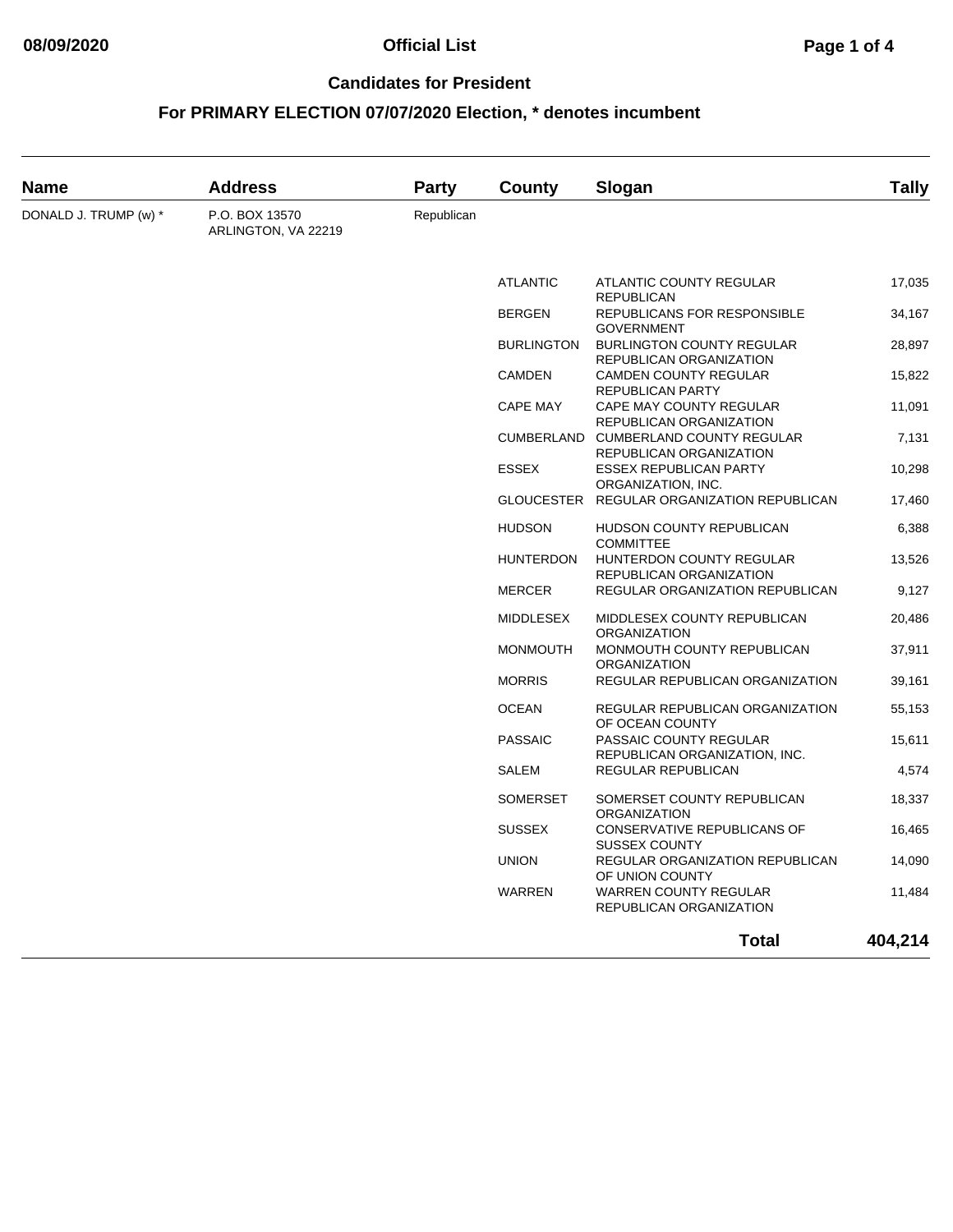# **08/09/2020 Official List Page 1 of 4**

### **Candidates for President**

| <b>Name</b>           | <b>Address</b>                        | <b>Party</b> | <b>County</b>     | Slogan                                                      | <b>Tally</b> |
|-----------------------|---------------------------------------|--------------|-------------------|-------------------------------------------------------------|--------------|
| DONALD J. TRUMP (w) * | P.O. BOX 13570<br>ARLINGTON, VA 22219 | Republican   |                   |                                                             |              |
|                       |                                       |              | <b>ATLANTIC</b>   | ATLANTIC COUNTY REGULAR<br><b>REPUBLICAN</b>                | 17,035       |
|                       |                                       |              | <b>BERGEN</b>     | REPUBLICANS FOR RESPONSIBLE<br><b>GOVERNMENT</b>            | 34,167       |
|                       |                                       |              | <b>BURLINGTON</b> | <b>BURLINGTON COUNTY REGULAR</b><br>REPUBLICAN ORGANIZATION | 28,897       |
|                       |                                       |              | <b>CAMDEN</b>     | CAMDEN COUNTY REGULAR<br>REPUBLICAN PARTY                   | 15,822       |
|                       |                                       |              | <b>CAPE MAY</b>   | CAPE MAY COUNTY REGULAR<br>REPUBLICAN ORGANIZATION          | 11,091       |
|                       |                                       |              | <b>CUMBERLAND</b> | CUMBERLAND COUNTY REGULAR<br>REPUBLICAN ORGANIZATION        | 7,131        |
|                       |                                       |              | <b>ESSEX</b>      | <b>ESSEX REPUBLICAN PARTY</b><br>ORGANIZATION, INC.         | 10,298       |
|                       |                                       |              |                   | GLOUCESTER REGULAR ORGANIZATION REPUBLICAN                  | 17,460       |
|                       |                                       |              | <b>HUDSON</b>     | HUDSON COUNTY REPUBLICAN<br><b>COMMITTEE</b>                | 6,388        |
|                       |                                       |              | <b>HUNTERDON</b>  | HUNTERDON COUNTY REGULAR<br>REPUBLICAN ORGANIZATION         | 13,526       |
|                       |                                       |              | <b>MERCER</b>     | REGULAR ORGANIZATION REPUBLICAN                             | 9,127        |
|                       |                                       |              | <b>MIDDLESEX</b>  | MIDDLESEX COUNTY REPUBLICAN<br>ORGANIZATION                 | 20,486       |
|                       |                                       |              | <b>MONMOUTH</b>   | MONMOUTH COUNTY REPUBLICAN<br><b>ORGANIZATION</b>           | 37,911       |
|                       |                                       |              | <b>MORRIS</b>     | REGULAR REPUBLICAN ORGANIZATION                             | 39,161       |
|                       |                                       |              | <b>OCEAN</b>      | REGULAR REPUBLICAN ORGANIZATION<br>OF OCEAN COUNTY          | 55,153       |
|                       |                                       |              | <b>PASSAIC</b>    | PASSAIC COUNTY REGULAR<br>REPUBLICAN ORGANIZATION, INC.     | 15,611       |
|                       |                                       |              | SALEM             | REGULAR REPUBLICAN                                          | 4,574        |
|                       |                                       |              | SOMERSET          | SOMERSET COUNTY REPUBLICAN<br><b>ORGANIZATION</b>           | 18,337       |
|                       |                                       |              | <b>SUSSEX</b>     | CONSERVATIVE REPUBLICANS OF<br><b>SUSSEX COUNTY</b>         | 16,465       |
|                       |                                       |              | <b>UNION</b>      | REGULAR ORGANIZATION REPUBLICAN<br>OF UNION COUNTY          | 14,090       |
|                       |                                       |              | WARREN            | <b>WARREN COUNTY REGULAR</b><br>REPUBLICAN ORGANIZATION     | 11,484       |
|                       |                                       |              |                   | <b>Total</b>                                                | 404,214      |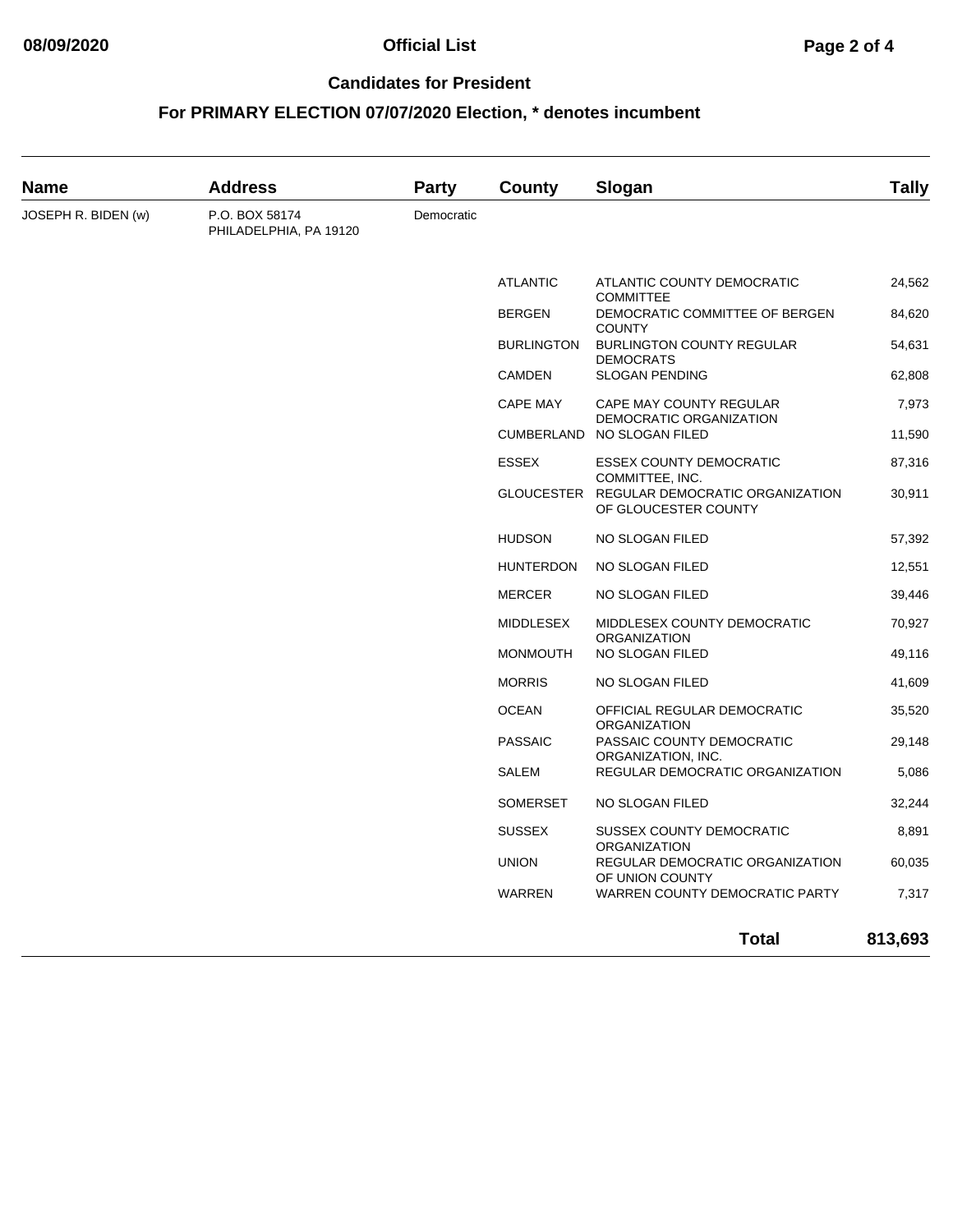# **08/09/2020 Official List Page 2 of 4**

### **Candidates for President**

| <b>Name</b>         | <b>Address</b>                           | <b>Party</b> | County            | Slogan                                                                                | <b>Tally</b> |
|---------------------|------------------------------------------|--------------|-------------------|---------------------------------------------------------------------------------------|--------------|
| JOSEPH R. BIDEN (w) | P.O. BOX 58174<br>PHILADELPHIA, PA 19120 | Democratic   |                   |                                                                                       |              |
|                     |                                          |              | <b>ATLANTIC</b>   | ATLANTIC COUNTY DEMOCRATIC<br><b>COMMITTEE</b>                                        | 24,562       |
|                     |                                          |              | <b>BERGEN</b>     | DEMOCRATIC COMMITTEE OF BERGEN<br><b>COUNTY</b>                                       | 84,620       |
|                     |                                          |              | <b>BURLINGTON</b> | <b>BURLINGTON COUNTY REGULAR</b><br><b>DEMOCRATS</b>                                  | 54,631       |
|                     |                                          |              | <b>CAMDEN</b>     | <b>SLOGAN PENDING</b>                                                                 | 62,808       |
|                     |                                          |              | <b>CAPE MAY</b>   | CAPE MAY COUNTY REGULAR<br>DEMOCRATIC ORGANIZATION                                    | 7,973        |
|                     |                                          |              |                   | CUMBERLAND NO SLOGAN FILED                                                            | 11,590       |
|                     |                                          |              | <b>ESSEX</b>      | <b>ESSEX COUNTY DEMOCRATIC</b>                                                        | 87,316       |
|                     |                                          |              |                   | COMMITTEE, INC.<br>GLOUCESTER REGULAR DEMOCRATIC ORGANIZATION<br>OF GLOUCESTER COUNTY | 30,911       |
|                     |                                          |              | <b>HUDSON</b>     | NO SLOGAN FILED                                                                       | 57,392       |
|                     |                                          |              | <b>HUNTERDON</b>  | NO SLOGAN FILED                                                                       | 12,551       |
|                     |                                          |              | <b>MERCER</b>     | NO SLOGAN FILED                                                                       | 39,446       |
|                     |                                          |              | <b>MIDDLESEX</b>  | MIDDLESEX COUNTY DEMOCRATIC<br>ORGANIZATION                                           | 70,927       |
|                     |                                          |              | <b>MONMOUTH</b>   | NO SLOGAN FILED                                                                       | 49,116       |
|                     |                                          |              | <b>MORRIS</b>     | NO SLOGAN FILED                                                                       | 41,609       |
|                     |                                          |              | <b>OCEAN</b>      | OFFICIAL REGULAR DEMOCRATIC<br><b>ORGANIZATION</b>                                    | 35,520       |
|                     |                                          |              | <b>PASSAIC</b>    | PASSAIC COUNTY DEMOCRATIC                                                             | 29,148       |
|                     |                                          |              | SALEM             | ORGANIZATION, INC.<br>REGULAR DEMOCRATIC ORGANIZATION                                 | 5,086        |
|                     |                                          |              | SOMERSET          | NO SLOGAN FILED                                                                       | 32,244       |
|                     |                                          |              | <b>SUSSEX</b>     | SUSSEX COUNTY DEMOCRATIC<br><b>ORGANIZATION</b>                                       | 8,891        |
|                     |                                          |              | <b>UNION</b>      | REGULAR DEMOCRATIC ORGANIZATION<br>OF UNION COUNTY                                    | 60,035       |
|                     |                                          |              | <b>WARREN</b>     | <b>WARREN COUNTY DEMOCRATIC PARTY</b>                                                 | 7,317        |
|                     |                                          |              |                   | <b>Total</b>                                                                          | 813,693      |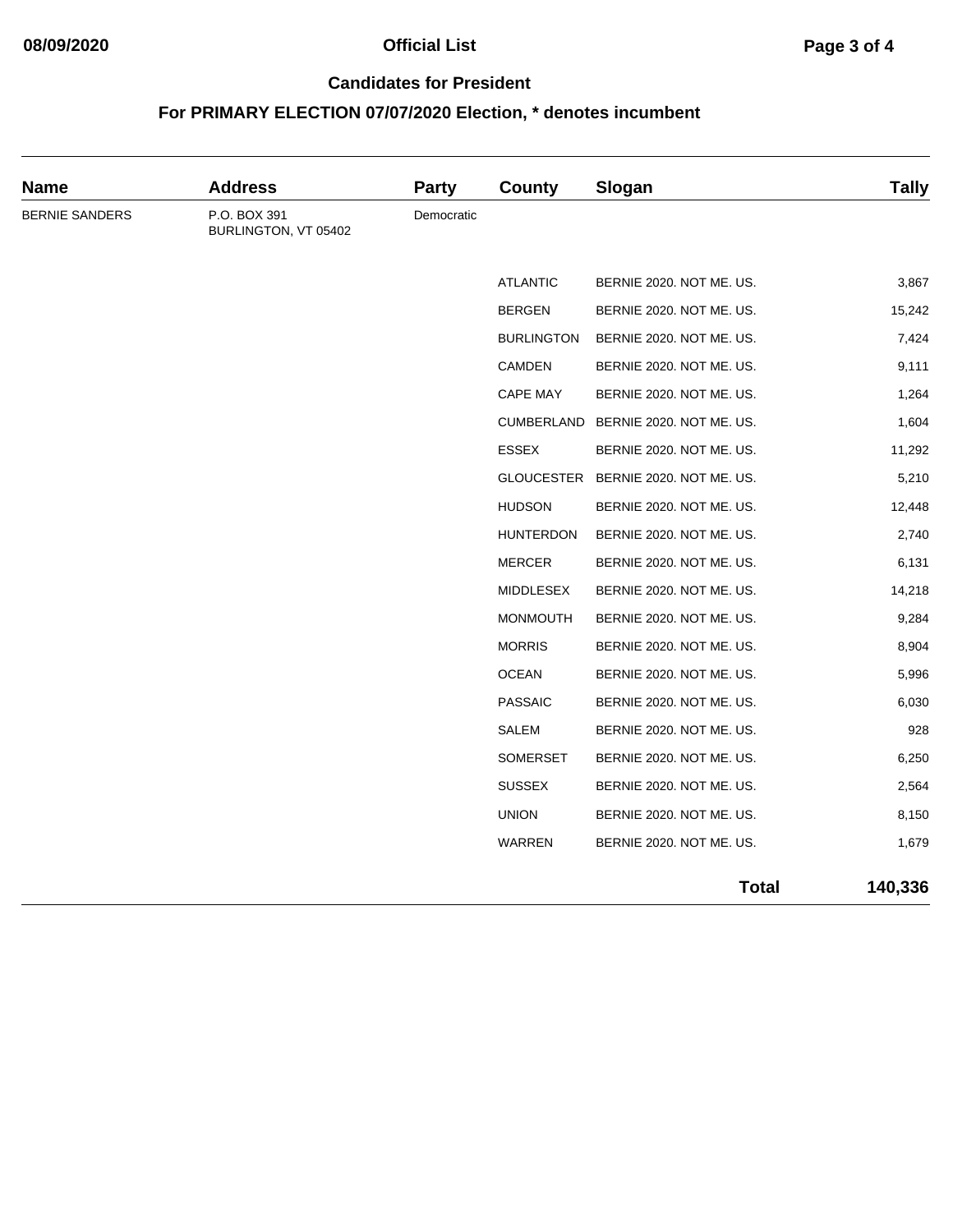# **08/09/2020 Official List Page 3 of 4**

### **Candidates for President**

| <b>Name</b>           | <b>Address</b>                       | Party      | <b>County</b>     | Slogan                              | <b>Tally</b> |
|-----------------------|--------------------------------------|------------|-------------------|-------------------------------------|--------------|
| <b>BERNIE SANDERS</b> | P.O. BOX 391<br>BURLINGTON, VT 05402 | Democratic |                   |                                     |              |
|                       |                                      |            | <b>ATLANTIC</b>   | BERNIE 2020. NOT ME. US.            | 3,867        |
|                       |                                      |            | <b>BERGEN</b>     | BERNIE 2020. NOT ME. US.            | 15,242       |
|                       |                                      |            | <b>BURLINGTON</b> | BERNIE 2020. NOT ME. US.            | 7,424        |
|                       |                                      |            | CAMDEN            | BERNIE 2020. NOT ME. US.            | 9,111        |
|                       |                                      |            | CAPE MAY          | BERNIE 2020. NOT ME. US.            | 1,264        |
|                       |                                      |            |                   | CUMBERLAND BERNIE 2020. NOT ME. US. | 1,604        |
|                       |                                      |            | <b>ESSEX</b>      | BERNIE 2020. NOT ME. US.            | 11,292       |
|                       |                                      |            |                   | GLOUCESTER BERNIE 2020. NOT ME. US. | 5,210        |
|                       |                                      |            | <b>HUDSON</b>     | BERNIE 2020. NOT ME. US.            | 12,448       |
|                       |                                      |            | <b>HUNTERDON</b>  | BERNIE 2020. NOT ME. US.            | 2,740        |
|                       |                                      |            | <b>MERCER</b>     | BERNIE 2020. NOT ME. US.            | 6,131        |
|                       |                                      |            | MIDDLESEX         | BERNIE 2020. NOT ME. US.            | 14,218       |
|                       |                                      |            | <b>MONMOUTH</b>   | BERNIE 2020. NOT ME. US.            | 9,284        |
|                       |                                      |            | <b>MORRIS</b>     | BERNIE 2020. NOT ME. US.            | 8,904        |
|                       |                                      |            | <b>OCEAN</b>      | BERNIE 2020. NOT ME. US.            | 5,996        |
|                       |                                      |            | <b>PASSAIC</b>    | BERNIE 2020. NOT ME. US.            | 6,030        |
|                       |                                      |            | SALEM             | BERNIE 2020. NOT ME. US.            | 928          |
|                       |                                      |            | SOMERSET          | BERNIE 2020. NOT ME. US.            | 6,250        |
|                       |                                      |            | <b>SUSSEX</b>     | BERNIE 2020. NOT ME. US.            | 2,564        |
|                       |                                      |            | <b>UNION</b>      | BERNIE 2020. NOT ME. US.            | 8,150        |
|                       |                                      |            | WARREN            | BERNIE 2020. NOT ME. US.            | 1,679        |
|                       |                                      |            |                   | <b>Total</b>                        | 140,336      |